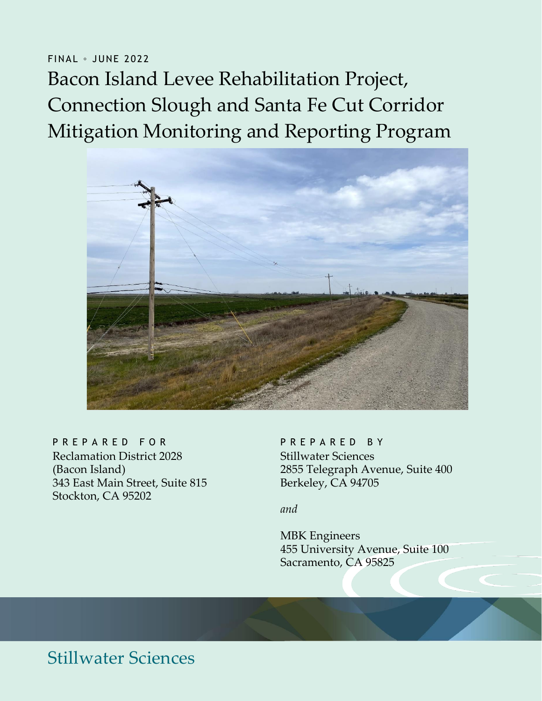# FINAL ∘ JUNE 2022 Bacon Island Levee Rehabilitation Project, Connection Slough and Santa Fe Cut Corridor Mitigation Monitoring and Reporting Program



#### P R E P A R E D F O R P R P A R E D B Y

Reclamation District 2028 (Bacon Island) 343 East Main Street, Suite 815 Stockton, CA 95202

Stillwater Sciences 2855 Telegraph Avenue, Suite 400 Berkeley, CA 94705

*and*

MBK Engineers 455 University Avenue, Suite 100 Sacramento, CA 95825

## Stillwater Sciences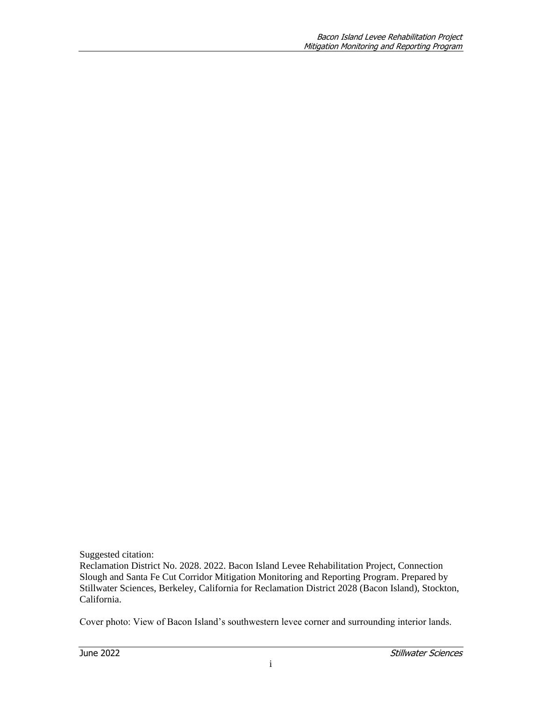Suggested citation:

Reclamation District No. 2028. 2022. Bacon Island Levee Rehabilitation Project, Connection Slough and Santa Fe Cut Corridor Mitigation Monitoring and Reporting Program. Prepared by Stillwater Sciences, Berkeley, California for Reclamation District 2028 (Bacon Island), Stockton, California.

Cover photo: View of Bacon Island's southwestern levee corner and surrounding interior lands.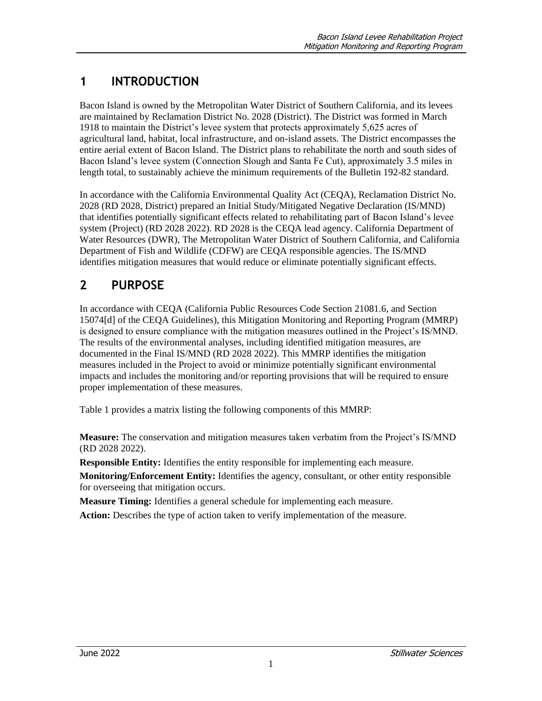### **1 INTRODUCTION**

Bacon Island is owned by the Metropolitan Water District of Southern California, and its levees are maintained by Reclamation District No. 2028 (District). The District was formed in March 1918 to maintain the District's levee system that protects approximately 5,625 acres of agricultural land, habitat, local infrastructure, and on-island assets. The District encompasses the entire aerial extent of Bacon Island. The District plans to rehabilitate the north and south sides of Bacon Island's levee system (Connection Slough and Santa Fe Cut), approximately 3.5 miles in length total, to sustainably achieve the minimum requirements of the Bulletin 192-82 standard.

In accordance with the California Environmental Quality Act (CEQA), Reclamation District No. 2028 (RD 2028, District) prepared an Initial Study/Mitigated Negative Declaration (IS/MND) that identifies potentially significant effects related to rehabilitating part of Bacon Island's levee system (Project) (RD 2028 2022). RD 2028 is the CEQA lead agency. California Department of Water Resources (DWR), The Metropolitan Water District of Southern California, and California Department of Fish and Wildlife (CDFW) are CEQA responsible agencies. The IS/MND identifies mitigation measures that would reduce or eliminate potentially significant effects.

#### **2 PURPOSE**

In accordance with CEQA (California Public Resources Code Section 21081.6, and Section 15074[d] of the CEQA Guidelines), this Mitigation Monitoring and Reporting Program (MMRP) is designed to ensure compliance with the mitigation measures outlined in the Project's IS/MND. The results of the environmental analyses, including identified mitigation measures, are documented in the Final IS/MND (RD 2028 2022). This MMRP identifies the mitigation measures included in the Project to avoid or minimize potentially significant environmental impacts and includes the monitoring and/or reporting provisions that will be required to ensure proper implementation of these measures.

Table 1 provides a matrix listing the following components of this MMRP:

**Measure:** The conservation and mitigation measures taken verbatim from the Project's IS/MND (RD 2028 2022).

**Responsible Entity:** Identifies the entity responsible for implementing each measure.

**Monitoring/Enforcement Entity:** Identifies the agency, consultant, or other entity responsible for overseeing that mitigation occurs.

**Measure Timing:** Identifies a general schedule for implementing each measure.

**Action:** Describes the type of action taken to verify implementation of the measure.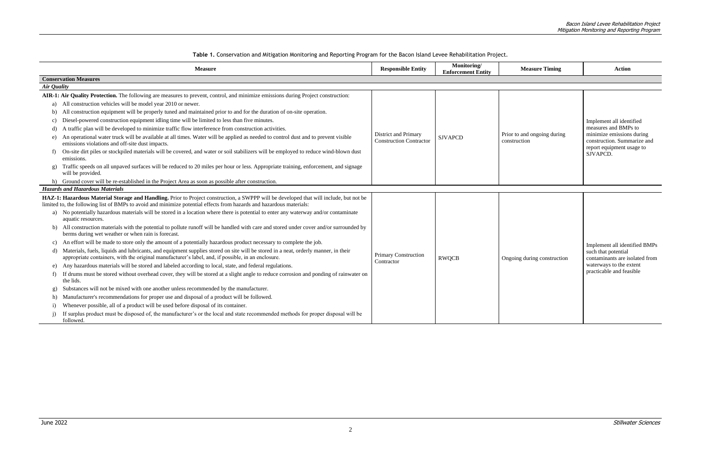Bacon Island Levee Rehabilitation Project Mitigation Monitoring and Reporting Program

**Table 1.** Conservation and Mitigation Monitoring and Reporting Program for the Bacon Island Levee Rehabilitation Project.

| Monitoring/<br><b>Enforcement Entity</b> | <b>Measure Timing</b>                       | <b>Action</b>                                                                                                                                         |  |  |
|------------------------------------------|---------------------------------------------|-------------------------------------------------------------------------------------------------------------------------------------------------------|--|--|
|                                          |                                             |                                                                                                                                                       |  |  |
| <b>VAPCD</b>                             | Prior to and ongoing during<br>construction | Implement all identified<br>measures and BMPs to<br>minimize emissions during<br>construction. Summarize and<br>report equipment usage to<br>SJVAPCD. |  |  |
| WQCB                                     | Ongoing during construction                 | Implement all identified BMPs<br>such that potential<br>contaminants are isolated from<br>waterways to the extent<br>practicable and feasible         |  |  |

| <b>Measure</b>     |                                                                                                                                                                                                                                                                | <b>Responsible Entity</b>                              | Monitoring/<br><b>Enforcement Entity</b> | <b>Measure Timing</b>                       |
|--------------------|----------------------------------------------------------------------------------------------------------------------------------------------------------------------------------------------------------------------------------------------------------------|--------------------------------------------------------|------------------------------------------|---------------------------------------------|
|                    | <b>Conservation Measures</b>                                                                                                                                                                                                                                   |                                                        |                                          |                                             |
| <b>Air Quality</b> |                                                                                                                                                                                                                                                                |                                                        |                                          |                                             |
|                    | AIR-1: Air Quality Protection. The following are measures to prevent, control, and minimize emissions during Project construction:                                                                                                                             |                                                        |                                          |                                             |
| a)                 | All construction vehicles will be model year 2010 or newer.                                                                                                                                                                                                    |                                                        |                                          |                                             |
| b)                 | All construction equipment will be properly tuned and maintained prior to and for the duration of on-site operation.                                                                                                                                           |                                                        |                                          |                                             |
| C)                 | Diesel-powered construction equipment idling time will be limited to less than five minutes.                                                                                                                                                                   |                                                        |                                          |                                             |
| d)                 | A traffic plan will be developed to minimize traffic flow interference from construction activities.                                                                                                                                                           |                                                        |                                          |                                             |
| e)                 | An operational water truck will be available at all times. Water will be applied as needed to control dust and to prevent visible<br>emissions violations and off-site dust impacts.                                                                           | District and Primary<br><b>Construction Contractor</b> | <b>SJVAPCD</b>                           | Prior to and ongoing during<br>construction |
| f                  | On-site dirt piles or stockpiled materials will be covered, and water or soil stabilizers will be employed to reduce wind-blown dust<br>emissions.                                                                                                             |                                                        |                                          |                                             |
| $\mathbf{g}$       | Traffic speeds on all unpaved surfaces will be reduced to 20 miles per hour or less. Appropriate training, enforcement, and signage<br>will be provided.                                                                                                       |                                                        |                                          |                                             |
|                    | Ground cover will be re-established in the Project Area as soon as possible after construction.                                                                                                                                                                |                                                        |                                          |                                             |
|                    | <b>Hazards and Hazardous Materials</b>                                                                                                                                                                                                                         |                                                        |                                          |                                             |
|                    | HAZ-1: Hazardous Material Storage and Handling. Prior to Project construction, a SWPPP will be developed that will include, but not be<br>limited to, the following list of BMPs to avoid and minimize potential effects from hazards and hazardous materials: |                                                        |                                          |                                             |
| a)                 | No potentially hazardous materials will be stored in a location where there is potential to enter any waterway and/or contaminate<br>aquatic resources.                                                                                                        |                                                        |                                          |                                             |
| b)                 | All construction materials with the potential to pollute runoff will be handled with care and stored under cover and/or surrounded by<br>berms during wet weather or when rain is forecast.                                                                    |                                                        |                                          |                                             |
| C)                 | An effort will be made to store only the amount of a potentially hazardous product necessary to complete the job.                                                                                                                                              |                                                        |                                          |                                             |
| d)                 | Materials, fuels, liquids and lubricants, and equipment supplies stored on site will be stored in a neat, orderly manner, in their<br>appropriate containers, with the original manufacturer's label, and, if possible, in an enclosure.                       | Primary Construction                                   | <b>RWQCB</b>                             | Ongoing during construction                 |
| e)                 | Any hazardous materials will be stored and labeled according to local, state, and federal regulations.                                                                                                                                                         | Contractor                                             |                                          |                                             |
| f)                 | If drums must be stored without overhead cover, they will be stored at a slight angle to reduce corrosion and ponding of rainwater on<br>the lids.                                                                                                             |                                                        |                                          |                                             |
| g)                 | Substances will not be mixed with one another unless recommended by the manufacturer.                                                                                                                                                                          |                                                        |                                          |                                             |
| h)                 | Manufacturer's recommendations for proper use and disposal of a product will be followed.                                                                                                                                                                      |                                                        |                                          |                                             |
| $\mathbf{i}$       | Whenever possible, all of a product will be used before disposal of its container.                                                                                                                                                                             |                                                        |                                          |                                             |
|                    | If surplus product must be disposed of, the manufacturer's or the local and state recommended methods for proper disposal will be<br>followed.                                                                                                                 |                                                        |                                          |                                             |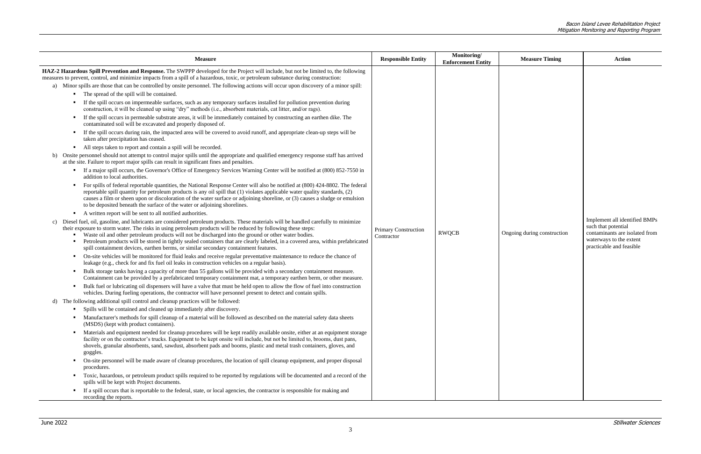| <b>Measure</b>                                                                                                                                                                                                                                                                                                                                                                                                                                                                                                                                                                                  | <b>Responsible Entity</b>                 | Monitoring/<br><b>Enforcement Entity</b> | <b>Measure Timing</b>       | <b>Action</b>                                                                                                                                 |
|-------------------------------------------------------------------------------------------------------------------------------------------------------------------------------------------------------------------------------------------------------------------------------------------------------------------------------------------------------------------------------------------------------------------------------------------------------------------------------------------------------------------------------------------------------------------------------------------------|-------------------------------------------|------------------------------------------|-----------------------------|-----------------------------------------------------------------------------------------------------------------------------------------------|
| HAZ-2 Hazardous Spill Prevention and Response. The SWPPP developed for the Project will include, but not be limited to, the following<br>measures to prevent, control, and minimize impacts from a spill of a hazardous, toxic, or petroleum substance during construction:                                                                                                                                                                                                                                                                                                                     |                                           |                                          |                             |                                                                                                                                               |
| a) Minor spills are those that can be controlled by onsite personnel. The following actions will occur upon discovery of a minor spill:                                                                                                                                                                                                                                                                                                                                                                                                                                                         |                                           |                                          |                             |                                                                                                                                               |
| The spread of the spill will be contained.                                                                                                                                                                                                                                                                                                                                                                                                                                                                                                                                                      |                                           |                                          |                             |                                                                                                                                               |
| If the spill occurs on impermeable surfaces, such as any temporary surfaces installed for pollution prevention during<br>construction, it will be cleaned up using "dry" methods (i.e., absorbent materials, cat litter, and/or rags).                                                                                                                                                                                                                                                                                                                                                          |                                           |                                          |                             |                                                                                                                                               |
| If the spill occurs in permeable substrate areas, it will be immediately contained by constructing an earthen dike. The<br>contaminated soil will be excavated and properly disposed of.                                                                                                                                                                                                                                                                                                                                                                                                        |                                           |                                          |                             |                                                                                                                                               |
| If the spill occurs during rain, the impacted area will be covered to avoid runoff, and appropriate clean-up steps will be<br>taken after precipitation has ceased.                                                                                                                                                                                                                                                                                                                                                                                                                             |                                           |                                          |                             |                                                                                                                                               |
| All steps taken to report and contain a spill will be recorded.<br>$\mathcal{L}_{\rm{max}}$                                                                                                                                                                                                                                                                                                                                                                                                                                                                                                     |                                           |                                          |                             |                                                                                                                                               |
| b) Onsite personnel should not attempt to control major spills until the appropriate and qualified emergency response staff has arrived<br>at the site. Failure to report major spills can result in significant fines and penalties.                                                                                                                                                                                                                                                                                                                                                           |                                           |                                          |                             |                                                                                                                                               |
| If a major spill occurs, the Governor's Office of Emergency Services Warning Center will be notified at (800) 852-7550 in<br>л.<br>addition to local authorities.                                                                                                                                                                                                                                                                                                                                                                                                                               |                                           |                                          |                             |                                                                                                                                               |
| For spills of federal reportable quantities, the National Response Center will also be notified at (800) 424-8802. The federal<br>reportable spill quantity for petroleum products is any oil spill that (1) violates applicable water quality standards, (2)<br>causes a film or sheen upon or discoloration of the water surface or adjoining shoreline, or (3) causes a sludge or emulsion<br>to be deposited beneath the surface of the water or adjoining shorelines.                                                                                                                      |                                           |                                          |                             |                                                                                                                                               |
| • A written report will be sent to all notified authorities.                                                                                                                                                                                                                                                                                                                                                                                                                                                                                                                                    |                                           |                                          |                             |                                                                                                                                               |
| Diesel fuel, oil, gasoline, and lubricants are considered petroleum products. These materials will be handled carefully to minimize<br>c)<br>their exposure to storm water. The risks in using petroleum products will be reduced by following these steps:<br>Waste oil and other petroleum products will not be discharged into the ground or other water bodies.<br>Petroleum products will be stored in tightly sealed containers that are clearly labeled, in a covered area, within prefabricated<br>spill containment devices, earthen berms, or similar secondary containment features. | <b>Primary Construction</b><br>Contractor | <b>RWQCB</b>                             | Ongoing during construction | Implement all identified BMPs<br>such that potential<br>contaminants are isolated from<br>waterways to the extent<br>practicable and feasible |
| On-site vehicles will be monitored for fluid leaks and receive regular preventative maintenance to reduce the chance of<br>. .<br>leakage (e.g., check for and fix fuel oil leaks in construction vehicles on a regular basis).                                                                                                                                                                                                                                                                                                                                                                 |                                           |                                          |                             |                                                                                                                                               |
| Bulk storage tanks having a capacity of more than 55 gallons will be provided with a secondary containment measure.<br>л.<br>Containment can be provided by a prefabricated temporary containment mat, a temporary earthen berm, or other measure.                                                                                                                                                                                                                                                                                                                                              |                                           |                                          |                             |                                                                                                                                               |
| Bulk fuel or lubricating oil dispensers will have a valve that must be held open to allow the flow of fuel into construction<br>vehicles. During fueling operations, the contractor will have personnel present to detect and contain spills.                                                                                                                                                                                                                                                                                                                                                   |                                           |                                          |                             |                                                                                                                                               |
| d) The following additional spill control and cleanup practices will be followed:                                                                                                                                                                                                                                                                                                                                                                                                                                                                                                               |                                           |                                          |                             |                                                                                                                                               |
| Spills will be contained and cleaned up immediately after discovery.                                                                                                                                                                                                                                                                                                                                                                                                                                                                                                                            |                                           |                                          |                             |                                                                                                                                               |
| Manufacturer's methods for spill cleanup of a material will be followed as described on the material safety data sheets<br>(MSDS) (kept with product containers).                                                                                                                                                                                                                                                                                                                                                                                                                               |                                           |                                          |                             |                                                                                                                                               |
| Materials and equipment needed for cleanup procedures will be kept readily available onsite, either at an equipment storage<br>$\mathbf{r}$<br>facility or on the contractor's trucks. Equipment to be kept onsite will include, but not be limited to, brooms, dust pans,<br>shovels, granular absorbents, sand, sawdust, absorbent pads and booms, plastic and metal trash containers, gloves, and<br>goggles.                                                                                                                                                                                |                                           |                                          |                             |                                                                                                                                               |
| On-site personnel will be made aware of cleanup procedures, the location of spill cleanup equipment, and proper disposal<br>л.<br>procedures.                                                                                                                                                                                                                                                                                                                                                                                                                                                   |                                           |                                          |                             |                                                                                                                                               |
| Toxic, hazardous, or petroleum product spills required to be reported by regulations will be documented and a record of the<br>spills will be kept with Project documents.                                                                                                                                                                                                                                                                                                                                                                                                                      |                                           |                                          |                             |                                                                                                                                               |
| If a spill occurs that is reportable to the federal, state, or local agencies, the contractor is responsible for making and<br>recording the reports.                                                                                                                                                                                                                                                                                                                                                                                                                                           |                                           |                                          |                             |                                                                                                                                               |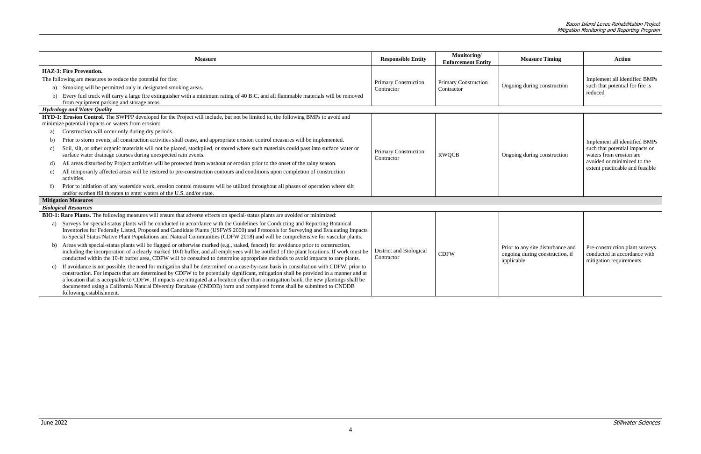|          | <b>Measure</b>                                                                                                                                                                                                                                                                                                                                                                                                                                                                                                                                                               | <b>Responsible Entity</b>                    | Monitoring/<br><b>Enforcement Entity</b>  | <b>Measure Timing</b>                                                              | <b>Action</b>                                                                                                                                                |
|----------|------------------------------------------------------------------------------------------------------------------------------------------------------------------------------------------------------------------------------------------------------------------------------------------------------------------------------------------------------------------------------------------------------------------------------------------------------------------------------------------------------------------------------------------------------------------------------|----------------------------------------------|-------------------------------------------|------------------------------------------------------------------------------------|--------------------------------------------------------------------------------------------------------------------------------------------------------------|
| b)       | <b>HAZ-3: Fire Prevention.</b><br>The following are measures to reduce the potential for fire:<br>a) Smoking will be permitted only in designated smoking areas.<br>Every fuel truck will carry a large fire extinguisher with a minimum rating of 40 B:C, and all flammable materials will be removed<br>from equipment parking and storage areas.                                                                                                                                                                                                                          | <b>Primary Construction</b><br>Contractor    | <b>Primary Construction</b><br>Contractor | Ongoing during construction                                                        | Implement all identified BMPs<br>such that potential for fire is<br>reduced                                                                                  |
|          | <b>Hydrology and Water Quality</b>                                                                                                                                                                                                                                                                                                                                                                                                                                                                                                                                           |                                              |                                           |                                                                                    |                                                                                                                                                              |
|          | HYD-1: Erosion Control. The SWPPP developed for the Project will include, but not be limited to, the following BMPs to avoid and<br>minimize potential impacts on waters from erosion:                                                                                                                                                                                                                                                                                                                                                                                       |                                              |                                           |                                                                                    |                                                                                                                                                              |
| a)       | Construction will occur only during dry periods.                                                                                                                                                                                                                                                                                                                                                                                                                                                                                                                             |                                              |                                           |                                                                                    |                                                                                                                                                              |
| b)<br>c) | Prior to storm events, all construction activities shall cease, and appropriate erosion control measures will be implemented.<br>Soil, silt, or other organic materials will not be placed, stockpiled, or stored where such materials could pass into surface water or<br>surface water drainage courses during unexpected rain events.                                                                                                                                                                                                                                     | <b>Primary Construction</b><br>Contractor    | <b>RWQCB</b>                              | Ongoing during construction                                                        | Implement all identified BMPs<br>such that potential impacts on<br>waters from erosion are<br>avoided or minimized to the<br>extent practicable and feasible |
| d)       | All areas disturbed by Project activities will be protected from washout or erosion prior to the onset of the rainy season.                                                                                                                                                                                                                                                                                                                                                                                                                                                  |                                              |                                           |                                                                                    |                                                                                                                                                              |
| e)       | All temporarily affected areas will be restored to pre-construction contours and conditions upon completion of construction<br>activities.                                                                                                                                                                                                                                                                                                                                                                                                                                   |                                              |                                           |                                                                                    |                                                                                                                                                              |
|          | Prior to initiation of any waterside work, erosion control measures will be utilized throughout all phases of operation where silt<br>and/or earthen fill threaten to enter waters of the U.S. and/or state.                                                                                                                                                                                                                                                                                                                                                                 |                                              |                                           |                                                                                    |                                                                                                                                                              |
|          | <b>Mitigation Measures</b>                                                                                                                                                                                                                                                                                                                                                                                                                                                                                                                                                   |                                              |                                           |                                                                                    |                                                                                                                                                              |
|          | <b>Biological Resources</b>                                                                                                                                                                                                                                                                                                                                                                                                                                                                                                                                                  |                                              |                                           |                                                                                    |                                                                                                                                                              |
| a)       | BIO-1: Rare Plants. The following measures will ensure that adverse effects on special-status plants are avoided or minimized:<br>Surveys for special-status plants will be conducted in accordance with the Guidelines for Conducting and Reporting Botanical<br>Inventories for Federally Listed, Proposed and Candidate Plants (USFWS 2000) and Protocols for Surveying and Evaluating Impacts<br>to Special Status Native Plant Populations and Natural Communities (CDFW 2018) and will be comprehensive for vascular plants.                                           |                                              |                                           |                                                                                    |                                                                                                                                                              |
|          | b) Areas with special-status plants will be flagged or otherwise marked (e.g., staked, fenced) for avoidance prior to construction,<br>including the incorporation of a clearly marked 10-ft buffer, and all employees will be notified of the plant locations. If work must be<br>conducted within the 10-ft buffer area, CDFW will be consulted to determine appropriate methods to avoid impacts to rare plants.                                                                                                                                                          | <b>District and Biological</b><br>Contractor | <b>CDFW</b>                               | Prior to any site disturbance and<br>ongoing during construction, if<br>applicable | Pre-construction plant surveys<br>conducted in accordance with<br>mitigation requirements                                                                    |
|          | If avoidance is not possible, the need for mitigation shall be determined on a case-by-case basis in consultation with CDFW, prior to<br>construction. For impacts that are determined by CDFW to be potentially significant, mitigation shall be provided in a manner and at<br>a location that is acceptable to CDFW. If impacts are mitigated at a location other than a mitigation bank, the new plantings shall be<br>documented using a California Natural Diversity Database (CNDDB) form and completed forms shall be submitted to CNDDB<br>following establishment. |                                              |                                           |                                                                                    |                                                                                                                                                              |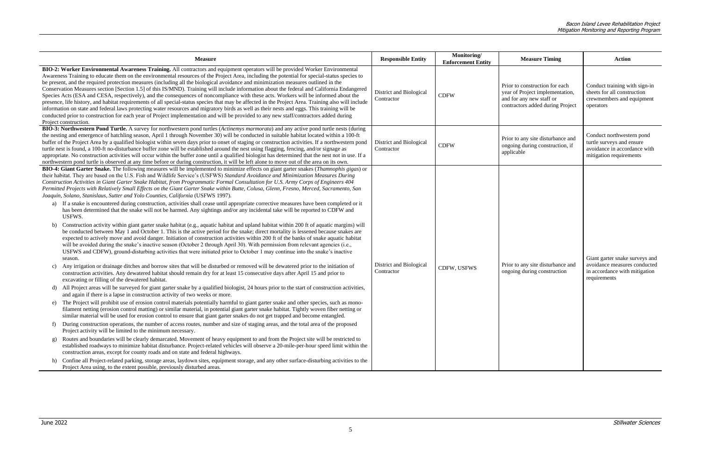|                       | <b>Measure</b>                                                                                                                                                                                                                                                                                                                                                                                                                                                                                                                                                                                                                                                                                                                                                                                                                                                                                                                                                                                                                                                                                                                                                                                                                                                                                                                                                                                                                                                                                                                                                                                                                                                                                                                                                                                                                                                                                                                                                                                                                                                                                                                                                                                                                                                                                                                                                                                                                                                                                                                                                                                                                                                                                                                                                                                                                                                                                                                                                                                                                                                                                                                                                                                                                                                                                                                                   | <b>Responsible Entity</b>             | Monitoring/<br><b>Enforcement Entity</b> | <b>Measure Timing</b>                                                                                                             | Action                                                                                                            |  |
|-----------------------|--------------------------------------------------------------------------------------------------------------------------------------------------------------------------------------------------------------------------------------------------------------------------------------------------------------------------------------------------------------------------------------------------------------------------------------------------------------------------------------------------------------------------------------------------------------------------------------------------------------------------------------------------------------------------------------------------------------------------------------------------------------------------------------------------------------------------------------------------------------------------------------------------------------------------------------------------------------------------------------------------------------------------------------------------------------------------------------------------------------------------------------------------------------------------------------------------------------------------------------------------------------------------------------------------------------------------------------------------------------------------------------------------------------------------------------------------------------------------------------------------------------------------------------------------------------------------------------------------------------------------------------------------------------------------------------------------------------------------------------------------------------------------------------------------------------------------------------------------------------------------------------------------------------------------------------------------------------------------------------------------------------------------------------------------------------------------------------------------------------------------------------------------------------------------------------------------------------------------------------------------------------------------------------------------------------------------------------------------------------------------------------------------------------------------------------------------------------------------------------------------------------------------------------------------------------------------------------------------------------------------------------------------------------------------------------------------------------------------------------------------------------------------------------------------------------------------------------------------------------------------------------------------------------------------------------------------------------------------------------------------------------------------------------------------------------------------------------------------------------------------------------------------------------------------------------------------------------------------------------------------------------------------------------------------------------------------------------------------|---------------------------------------|------------------------------------------|-----------------------------------------------------------------------------------------------------------------------------------|-------------------------------------------------------------------------------------------------------------------|--|
| Project construction. | BIO-2: Worker Environmental Awareness Training. All contractors and equipment operators will be provided Worker Environmental<br>Awareness Training to educate them on the environmental resources of the Project Area, including the potential for special-status species to<br>be present, and the required protection measures (including all the biological avoidance and minimization measures outlined in the<br>Conservation Measures section [Section 1.5] of this IS/MND). Training will include information about the federal and California Endangered<br>Species Acts (ESA and CESA, respectively), and the consequences of noncompliance with these acts. Workers will be informed about the<br>presence, life history, and habitat requirements of all special-status species that may be affected in the Project Area. Training also will include<br>information on state and federal laws protecting water resources and migratory birds as well as their nests and eggs. This training will be<br>conducted prior to construction for each year of Project implementation and will be provided to any new staff/contractors added during                                                                                                                                                                                                                                                                                                                                                                                                                                                                                                                                                                                                                                                                                                                                                                                                                                                                                                                                                                                                                                                                                                                                                                                                                                                                                                                                                                                                                                                                                                                                                                                                                                                                                                                                                                                                                                                                                                                                                                                                                                                                                                                                                                                        | District and Biological<br>Contractor | <b>CDFW</b>                              | Prior to construction for each<br>year of Project implementation,<br>and for any new staff or<br>contractors added during Project | Conduct training with sign-in<br>sheets for all construction<br>crewmembers and equipment<br>operators            |  |
|                       | BIO-3: Northwestern Pond Turtle. A survey for northwestern pond turtles (Actinemys marmorata) and any active pond turtle nests (during<br>the nesting and emergence of hatchling season, April 1 through November 30) will be conducted in suitable habitat located within a 100-ft<br>buffer of the Project Area by a qualified biologist within seven days prior to onset of staging or construction activities. If a northwestern pond<br>turtle nest is found, a 100-ft no-disturbance buffer zone will be established around the nest using flagging, fencing, and/or signage as<br>appropriate. No construction activities will occur within the buffer zone until a qualified biologist has determined that the nest not in use. If a<br>northwestern pond turtle is observed at any time before or during construction, it will be left alone to move out of the area on its own.                                                                                                                                                                                                                                                                                                                                                                                                                                                                                                                                                                                                                                                                                                                                                                                                                                                                                                                                                                                                                                                                                                                                                                                                                                                                                                                                                                                                                                                                                                                                                                                                                                                                                                                                                                                                                                                                                                                                                                                                                                                                                                                                                                                                                                                                                                                                                                                                                                                        | District and Biological<br>Contractor | <b>CDFW</b>                              | Prior to any site disturbance and<br>ongoing during construction, if<br>applicable                                                | Conduct northwestern pond<br>turtle surveys and ensure<br>avoidance in accordance with<br>mitigation requirements |  |
| c)                    | BIO-4: Giant Garter Snake. The following measures will be implemented to minimize effects on giant garter snakes (Thamnophis gigas) or<br>their habitat. They are based on the U.S. Fish and Wildlife Service's (USFWS) Standard Avoidance and Minimization Measures During<br>Construction Activities in Giant Garter Snake Habitat, from Programmatic Formal Consultation for U.S. Army Corps of Engineers 404<br>Permitted Projects with Relatively Small Effects on the Giant Garter Snake within Butte, Colusa, Glenn, Fresno, Merced, Sacramento, San<br>Joaquin, Solano, Stanislaus, Sutter and Yolo Counties, California (USFWS 1997).<br>a) If a snake is encountered during construction, activities shall cease until appropriate corrective measures have been completed or it<br>has been determined that the snake will not be harmed. Any sightings and/or any incidental take will be reported to CDFW and<br>USFWS.<br>Construction activity within giant garter snake habitat (e.g., aquatic habitat and upland habitat within 200 ft of aquatic margins) will<br>be conducted between May 1 and October 1. This is the active period for the snake; direct mortality is lessened because snakes are<br>expected to actively move and avoid danger. Initiation of construction activities within 200 ft of the banks of snake aquatic habitat<br>will be avoided during the snake's inactive season (October 2 through April 30). With permission from relevant agencies (i.e.,<br>USFWS and CDFW), ground-disturbing activities that were initiated prior to October 1 may continue into the snake's inactive<br>season.<br>Any irrigation or drainage ditches and borrow sites that will be disturbed or removed will be dewatered prior to the initiation of<br>construction activities. Any dewatered habitat should remain dry for at least 15 consecutive days after April 15 and prior to<br>excavating or filling of the dewatered habitat.<br>d) All Project areas will be surveyed for giant garter snake by a qualified biologist, 24 hours prior to the start of construction activities,<br>and again if there is a lapse in construction activity of two weeks or more.<br>e) The Project will prohibit use of erosion control materials potentially harmful to giant garter snake and other species, such as mono-<br>filament netting (erosion control matting) or similar material, in potential giant garter snake habitat. Tightly woven fiber netting or<br>similar material will be used for erosion control to ensure that giant garter snakes do not get trapped and become entangled.<br>During construction operations, the number of access routes, number and size of staging areas, and the total area of the proposed<br>Project activity will be limited to the minimum necessary.<br>Routes and boundaries will be clearly demarcated. Movement of heavy equipment to and from the Project site will be restricted to<br>established roadways to minimize habitat disturbance. Project-related vehicles will observe a 20-mile-per-hour speed limit within the<br>construction areas, except for county roads and on state and federal highways.<br>h) Confine all Project-related parking, storage areas, laydown sites, equipment storage, and any other surface-disturbing activities to the | District and Biological<br>Contractor | CDFW, USFWS                              | Prior to any site disturbance and<br>ongoing during construction                                                                  | Giant garter snake surveys and<br>avoidance measures conducted<br>in accordance with mitigation<br>requirements   |  |
|                       | Project Area using, to the extent possible, previously disturbed areas.                                                                                                                                                                                                                                                                                                                                                                                                                                                                                                                                                                                                                                                                                                                                                                                                                                                                                                                                                                                                                                                                                                                                                                                                                                                                                                                                                                                                                                                                                                                                                                                                                                                                                                                                                                                                                                                                                                                                                                                                                                                                                                                                                                                                                                                                                                                                                                                                                                                                                                                                                                                                                                                                                                                                                                                                                                                                                                                                                                                                                                                                                                                                                                                                                                                                          |                                       |                                          |                                                                                                                                   |                                                                                                                   |  |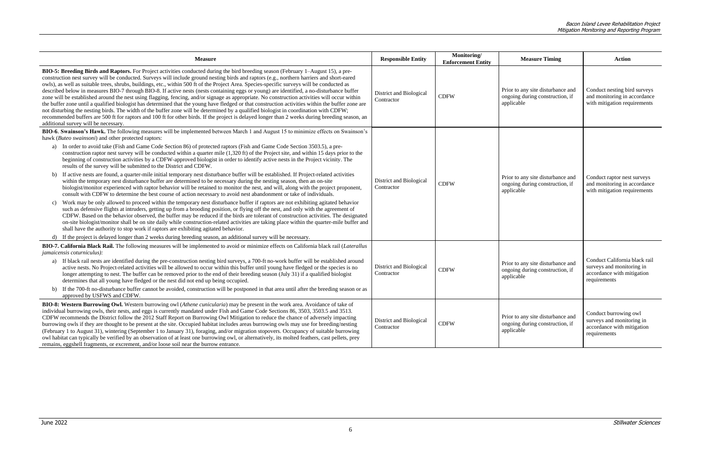| <b>Measure</b>                                                                                                                                                                                                                                                                                                                                                                                                                                                                                                                                                                                                                                                                                                                                                                                                                                                                                                                                                                                                                                                                                                                                                                                                         | <b>Responsible Entity</b>             | Monitoring/<br><b>Enforcement Entity</b> | <b>Measure Timing</b>                                                              | <b>Action</b>                                                                                            |  |
|------------------------------------------------------------------------------------------------------------------------------------------------------------------------------------------------------------------------------------------------------------------------------------------------------------------------------------------------------------------------------------------------------------------------------------------------------------------------------------------------------------------------------------------------------------------------------------------------------------------------------------------------------------------------------------------------------------------------------------------------------------------------------------------------------------------------------------------------------------------------------------------------------------------------------------------------------------------------------------------------------------------------------------------------------------------------------------------------------------------------------------------------------------------------------------------------------------------------|---------------------------------------|------------------------------------------|------------------------------------------------------------------------------------|----------------------------------------------------------------------------------------------------------|--|
| BIO-5: Breeding Birds and Raptors. For Project activities conducted during the bird breeding season (February 1–August 15), a pre-<br>construction nest survey will be conducted. Surveys will include ground nesting birds and raptors (e.g., northern harriers and short-eared<br>owls), as well as suitable trees, shrubs, buildings, etc., within 500 ft of the Project Area. Species-specific surveys will be conducted as<br>described below in measures BIO-7 through BIO-8. If active nests (nests containing eggs or young) are identified, a no-disturbance buffer<br>zone will be established around the nest using flagging, fencing, and/or signage as appropriate. No construction activities will occur within<br>the buffer zone until a qualified biologist has determined that the young have fledged or that construction activities within the buffer zone are<br>not disturbing the nesting birds. The width of the buffer zone will be determined by a qualified biologist in coordination with CDFW;<br>recommended buffers are 500 ft for raptors and 100 ft for other birds. If the project is delayed longer than 2 weeks during breeding season, an<br>additional survey will be necessary. | District and Biological<br>Contractor | <b>CDFW</b>                              | Prior to any site disturbance and<br>ongoing during construction, if<br>applicable | Conduct nesting bird surveys<br>and monitoring in accordance<br>with mitigation requirements             |  |
| BIO-6. Swainson's Hawk. The following measures will be implemented between March 1 and August 15 to minimize effects on Swainson's<br>hawk (Buteo swainsoni) and other protected raptors:                                                                                                                                                                                                                                                                                                                                                                                                                                                                                                                                                                                                                                                                                                                                                                                                                                                                                                                                                                                                                              |                                       |                                          |                                                                                    |                                                                                                          |  |
| In order to avoid take (Fish and Game Code Section 86) of protected raptors (Fish and Game Code Section 3503.5), a pre-<br>a)<br>construction raptor nest survey will be conducted within a quarter mile (1,320 ft) of the Project site, and within 15 days prior to the<br>beginning of construction activities by a CDFW-approved biologist in order to identify active nests in the Project vicinity. The<br>results of the survey will be submitted to the District and CDFW.                                                                                                                                                                                                                                                                                                                                                                                                                                                                                                                                                                                                                                                                                                                                      |                                       |                                          |                                                                                    |                                                                                                          |  |
| b) If active nests are found, a quarter-mile initial temporary nest disturbance buffer will be established. If Project-related activities<br>within the temporary nest disturbance buffer are determined to be necessary during the nesting season, then an on-site<br>biologist/monitor experienced with raptor behavior will be retained to monitor the nest, and will, along with the project proponent,<br>consult with CDFW to determine the best course of action necessary to avoid nest abandonment or take of individuals.                                                                                                                                                                                                                                                                                                                                                                                                                                                                                                                                                                                                                                                                                    | District and Biological<br>Contractor | <b>CDFW</b>                              | Prior to any site disturbance and<br>ongoing during construction, if<br>applicable | Conduct raptor nest surveys<br>and monitoring in accordance<br>with mitigation requirements              |  |
| Work may be only allowed to proceed within the temporary nest disturbance buffer if raptors are not exhibiting agitated behavior<br>C)<br>such as defensive flights at intruders, getting up from a brooding position, or flying off the nest, and only with the agreement of<br>CDFW. Based on the behavior observed, the buffer may be reduced if the birds are tolerant of construction activities. The designated<br>on-site biologist/monitor shall be on site daily while construction-related activities are taking place within the quarter-mile buffer and<br>shall have the authority to stop work if raptors are exhibiting agitated behavior.                                                                                                                                                                                                                                                                                                                                                                                                                                                                                                                                                              |                                       |                                          |                                                                                    |                                                                                                          |  |
| d) If the project is delayed longer than 2 weeks during breeding season, an additional survey will be necessary.                                                                                                                                                                                                                                                                                                                                                                                                                                                                                                                                                                                                                                                                                                                                                                                                                                                                                                                                                                                                                                                                                                       |                                       |                                          |                                                                                    |                                                                                                          |  |
| BIO-7. California Black Rail. The following measures will be implemented to avoid or minimize effects on California black rail (Laterallus<br><i>jamaicensis coturniculus</i> ):                                                                                                                                                                                                                                                                                                                                                                                                                                                                                                                                                                                                                                                                                                                                                                                                                                                                                                                                                                                                                                       |                                       |                                          |                                                                                    |                                                                                                          |  |
| a) If black rail nests are identified during the pre-construction nesting bird surveys, a 700-ft no-work buffer will be established around<br>active nests. No Project-related activities will be allowed to occur within this buffer until young have fledged or the species is no<br>longer attempting to nest. The buffer can be removed prior to the end of their breeding season (July 31) if a qualified biologist<br>determines that all young have fledged or the nest did not end up being occupied.                                                                                                                                                                                                                                                                                                                                                                                                                                                                                                                                                                                                                                                                                                          | District and Biological<br>Contractor | <b>CDFW</b>                              | Prior to any site disturbance and<br>ongoing during construction, if<br>applicable | Conduct California black rail<br>surveys and monitoring in<br>accordance with mitigation<br>requirements |  |
| b) If the 700-ft no-disturbance buffer cannot be avoided, construction will be postponed in that area until after the breeding season or as<br>approved by USFWS and CDFW.                                                                                                                                                                                                                                                                                                                                                                                                                                                                                                                                                                                                                                                                                                                                                                                                                                                                                                                                                                                                                                             |                                       |                                          |                                                                                    |                                                                                                          |  |
| BIO-8: Western Burrowing Owl. Western burrowing owl (Athene cunicularia) may be present in the work area. Avoidance of take of<br>individual burrowing owls, their nests, and eggs is currently mandated under Fish and Game Code Sections 86, 3503, 3503.5 and 3513.<br>CDFW recommends the District follow the 2012 Staff Report on Burrowing Owl Mitigation to reduce the chance of adversely impacting<br>burrowing owls if they are thought to be present at the site. Occupied habitat includes areas burrowing owls may use for breeding/nesting<br>(February 1 to August 31), wintering (September 1 to January 31), foraging, and/or migration stopovers. Occupancy of suitable burrowing<br>owl habitat can typically be verified by an observation of at least one burrowing owl, or alternatively, its molted feathers, cast pellets, prey<br>remains, eggshell fragments, or excrement, and/or loose soil near the burrow entrance.                                                                                                                                                                                                                                                                       | District and Biological<br>Contractor | <b>CDFW</b>                              | Prior to any site disturbance and<br>ongoing during construction, if<br>applicable | Conduct burrowing owl<br>surveys and monitoring in<br>accordance with mitigation<br>requirements         |  |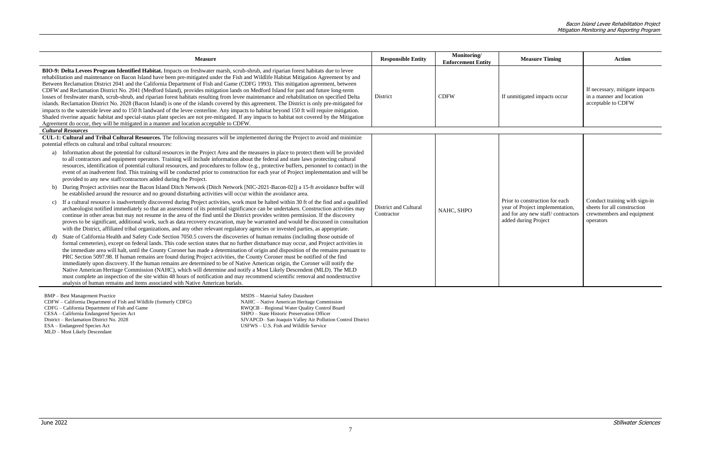| <b>Measure</b>                                                                                                                                                                                                                                                                                                                                                                                                                                                                                                                                                                                                                                                                                                                                                                                                                                                                                                                                                                                                                                                                                                                                                                                                                                                                                                                                                                                                                                                                                                                                                                                                                                                                                                                                                                                                                                                                                                                                                                                                                                                                                                                                                                                                                                                                                                                                                                                                                                                                                                                                                                                                                                                                                                                                                                                                                                                  | <b>Responsible Entity</b>                  | Monitoring/<br><b>Enforcement Entity</b> | <b>Measure Timing</b>                                                                                                          | <b>Action</b>                                                                                          |
|-----------------------------------------------------------------------------------------------------------------------------------------------------------------------------------------------------------------------------------------------------------------------------------------------------------------------------------------------------------------------------------------------------------------------------------------------------------------------------------------------------------------------------------------------------------------------------------------------------------------------------------------------------------------------------------------------------------------------------------------------------------------------------------------------------------------------------------------------------------------------------------------------------------------------------------------------------------------------------------------------------------------------------------------------------------------------------------------------------------------------------------------------------------------------------------------------------------------------------------------------------------------------------------------------------------------------------------------------------------------------------------------------------------------------------------------------------------------------------------------------------------------------------------------------------------------------------------------------------------------------------------------------------------------------------------------------------------------------------------------------------------------------------------------------------------------------------------------------------------------------------------------------------------------------------------------------------------------------------------------------------------------------------------------------------------------------------------------------------------------------------------------------------------------------------------------------------------------------------------------------------------------------------------------------------------------------------------------------------------------------------------------------------------------------------------------------------------------------------------------------------------------------------------------------------------------------------------------------------------------------------------------------------------------------------------------------------------------------------------------------------------------------------------------------------------------------------------------------------------------|--------------------------------------------|------------------------------------------|--------------------------------------------------------------------------------------------------------------------------------|--------------------------------------------------------------------------------------------------------|
| BIO-9: Delta Levees Program Identified Habitat. Impacts on freshwater marsh, scrub-shrub, and riparian forest habitats due to levee<br>rehabilitation and maintenance on Bacon Island have been pre-mitigated under the Fish and Wildlife Habitat Mitigation Agreement by and<br>Between Reclamation District 2041 and the California Department of Fish and Game (CDFG 1993). This mitigation agreement, between<br>CDFW and Reclamation District No. 2041 (Medford Island), provides mitigation lands on Medford Island for past and future long-term<br>losses of freshwater marsh, scrub-shrub, and riparian forest habitats resulting from levee maintenance and rehabilitation on specified Delta<br>islands. Reclamation District No. 2028 (Bacon Island) is one of the islands covered by this agreement. The District is only pre-mitigated for<br>impacts to the waterside levee and to 150 ft landward of the levee centerline. Any impacts to habitat beyond 150 ft will require mitigation.<br>Shaded riverine aquatic habitat and special-status plant species are not pre-mitigated. If any impacts to habitat not covered by the Mitigation<br>Agreement do occur, they will be mitigated in a manner and location acceptable to CDFW.                                                                                                                                                                                                                                                                                                                                                                                                                                                                                                                                                                                                                                                                                                                                                                                                                                                                                                                                                                                                                                                                                                                                                                                                                                                                                                                                                                                                                                                                                                                                                                                                          | District                                   | <b>CDFW</b>                              | If unmitigated impacts occur                                                                                                   | If necessary, mitigate impacts<br>in a manner and location<br>acceptable to CDFW                       |
| <b>Cultural Resources</b>                                                                                                                                                                                                                                                                                                                                                                                                                                                                                                                                                                                                                                                                                                                                                                                                                                                                                                                                                                                                                                                                                                                                                                                                                                                                                                                                                                                                                                                                                                                                                                                                                                                                                                                                                                                                                                                                                                                                                                                                                                                                                                                                                                                                                                                                                                                                                                                                                                                                                                                                                                                                                                                                                                                                                                                                                                       |                                            |                                          |                                                                                                                                |                                                                                                        |
| CUL-1: Cultural and Tribal Cultural Resources. The following measures will be implemented during the Project to avoid and minimize<br>potential effects on cultural and tribal cultural resources:<br>a) Information about the potential for cultural resources in the Project Area and the measures in place to protect them will be provided<br>to all contractors and equipment operators. Training will include information about the federal and state laws protecting cultural<br>resources, identification of potential cultural resources, and procedures to follow (e.g., protective buffers, personnel to contact) in the<br>event of an inadvertent find. This training will be conducted prior to construction for each year of Project implementation and will be<br>provided to any new staff/contractors added during the Project.<br>During Project activities near the Bacon Island Ditch Network (Ditch Network [NIC-2021-Bacon-02]) a 15-ft avoidance buffer will<br>$\mathbf{b}$<br>be established around the resource and no ground disturbing activities will occur within the avoidance area.<br>c) If a cultural resource is inadvertently discovered during Project activities, work must be halted within 30 ft of the find and a qualified<br>archaeologist notified immediately so that an assessment of its potential significance can be undertaken. Construction activities may<br>continue in other areas but may not resume in the area of the find until the District provides written permission. If the discovery<br>proves to be significant, additional work, such as data recovery excavation, may be warranted and would be discussed in consultation<br>with the District, affiliated tribal organizations, and any other relevant regulatory agencies or invested parties, as appropriate.<br>State of California Health and Safety Code Section 7050.5 covers the discoveries of human remains (including those outside of<br>formal cemeteries), except on federal lands. This code section states that no further disturbance may occur, and Project activities in<br>the immediate area will halt, until the County Coroner has made a determination of origin and disposition of the remains pursuant to<br>PRC Section 5097.98. If human remains are found during Project activities, the County Coroner must be notified of the find<br>immediately upon discovery. If the human remains are determined to be of Native American origin, the Coroner will notify the<br>Native American Heritage Commission (NAHC), which will determine and notify a Most Likely Descendent (MLD). The MLD<br>must complete an inspection of the site within 48 hours of notification and may recommend scientific removal and nondestructive<br>analysis of human remains and items associated with Native American burials. | <b>District and Cultural</b><br>Contractor | NAHC, SHPO                               | Prior to construction for each<br>year of Project implementation,<br>and for any new staff/contractors<br>added during Project | Conduct training with sign-in<br>sheets for all construction<br>crewmembers and equipment<br>operators |

BMP – Best Management Practice

CDFW – California Department of Fish and Wildlife (formerly CDFG) CDFG – California Department of Fish and Game CESA – California Endangered Species Act District – Reclamation District No. 2028 ESA – Endangered Species Act MLD – Most Likely Descendant

MSDS – Material Safety Datasheet NAHC – Native American Heritage Commission RWQCB – Regional Water Quality Control Board SHPO – State Historic Preservation Officer SJVAPCD– San Joaquin Valley Air Pollution Control District USFWS – U.S. Fish and Wildlife Service